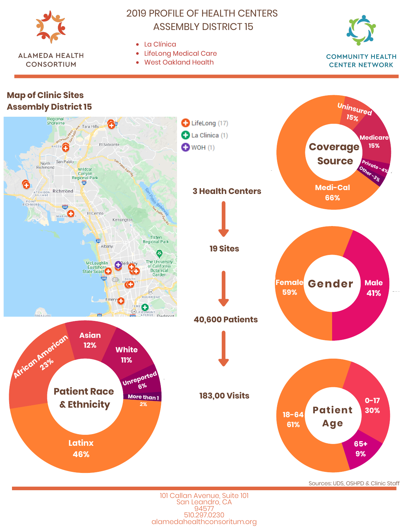

**ALAMEDA HEALTH** 

**CONSORTIUM** 

# **2019 PROFILE OF HEALTH CENTERS ASSEMBLY DISTRICT 15**

- $\bullet$  I a Clínica
- LifeLong Medical Care
- $\bullet$ **West Oakland Health**



**Map of Clinic Sites** Uninsured **Assembly District 15** 15% Regional<br>Shoreline  $\bullet$  LifeLong (17) ∓⊺ .<br>Tara Hills La Clinica (1) **Medicare** El Sobrante **Coverage** 15%  $\bullet$  WOH (1) RHEEM Œ North San Pablo **Source** Private-48 Other Richmond **Wildcat**<br>Canyon **Register** Regional Park ATCHISON Richmond Medi-Cal **3 Health Centers** 66% RICHMOND GID **MARIN** El Cerrito Kensington Tilden<br>Regional Park 击 Albany **19 Sites** ❸ The University<br>of California<br>Botanical McLaughlin<br>Eastshore<br>State Seast  $\mathbf{C}$ <sup>ser</sup> Garden ÷  $(123)$ **Gender Female Male**  $\overline{(24)}$ 59% 41% ROCKRIDGE Emery  $\boldsymbol{\Theta}$ EDMONT<br>AVENUE Piedmont  $(24)$ **CONSURE 40,600 Patients** African Antonican **Asian**  $12%$ **White 11%** Unreported  $6%$ **Patient Race 183,00 Visits** More than 1  $O - 17$ & Ethnicity **Patient** 30%  $18 - 64$ **Age** 61% **Latinx** 65+ 46% 9%

Sources: UDS, OSHPD & Clinic Staff

101 Callan Avenue, Suite 101 San Leandro, CA 94577 510.297.0230 alamedahealthconsoritum.org